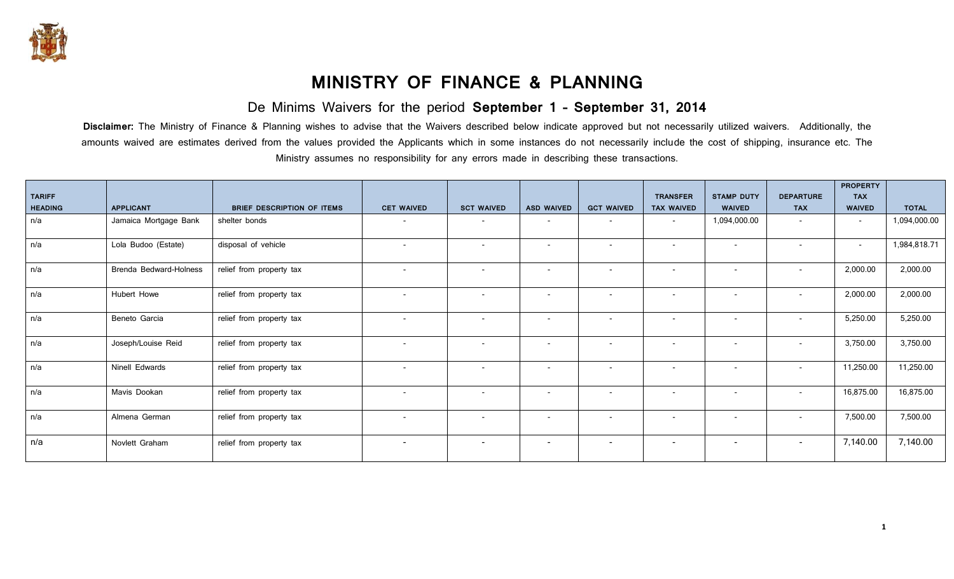

## **MINISTRY OF FINANCE & PLANNING**

De Minims Waivers for the period **September 1 – September 31, 2014**

**Disclaimer:** The Ministry of Finance & Planning wishes to advise that the Waivers described below indicate approved but not necessarily utilized waivers. Additionally, the amounts waived are estimates derived from the values provided the Applicants which in some instances do not necessarily include the cost of shipping, insurance etc. The Ministry assumes no responsibility for any errors made in describing these transactions.

| <b>TARIFF</b>  |                               |                                   |                          |                          |                          |                          | <b>TRANSFER</b>          | <b>STAMP DUTY</b>        | <b>DEPARTURE</b>         | <b>PROPERTY</b><br><b>TAX</b> |              |
|----------------|-------------------------------|-----------------------------------|--------------------------|--------------------------|--------------------------|--------------------------|--------------------------|--------------------------|--------------------------|-------------------------------|--------------|
| <b>HEADING</b> | <b>APPLICANT</b>              | <b>BRIEF DESCRIPTION OF ITEMS</b> | <b>CET WAIVED</b>        | <b>SCT WAIVED</b>        | <b>ASD WAIVED</b>        | <b>GCT WAIVED</b>        | <b>TAX WAIVED</b>        | <b>WAIVED</b>            | <b>TAX</b>               | <b>WAIVED</b>                 | <b>TOTAL</b> |
| n/a            | Jamaica Mortgage Bank         | shelter bonds                     |                          |                          | $\overline{\phantom{a}}$ | $\overline{\phantom{a}}$ | $\overline{\phantom{0}}$ | 1,094,000.00             |                          | $\sim$                        | 1,094,000.00 |
| n/a            | Lola Budoo (Estate)           | disposal of vehicle               | $\overline{\phantom{a}}$ | $\overline{\phantom{a}}$ | $\overline{\phantom{a}}$ | $\overline{\phantom{a}}$ | $\overline{\phantom{a}}$ | $\overline{\phantom{a}}$ |                          | $\sim$                        | 1,984,818.71 |
| n/a            | <b>Brenda Bedward-Holness</b> | relief from property tax          | $\sim$                   | $\overline{\phantom{a}}$ | $\overline{\phantom{a}}$ | $\overline{\phantom{a}}$ | $\overline{\phantom{a}}$ | $\overline{\phantom{a}}$ | $\overline{\phantom{a}}$ | 2,000.00                      | 2,000.00     |
| n/a            | Hubert Howe                   | relief from property tax          | $\overline{\phantom{a}}$ | $\overline{\phantom{a}}$ | $\overline{\phantom{a}}$ | $\overline{\phantom{a}}$ | $\overline{\phantom{a}}$ | $\overline{\phantom{a}}$ | $\overline{\phantom{a}}$ | 2,000.00                      | 2,000.00     |
| n/a            | Beneto Garcia                 | relief from property tax          | $\overline{\phantom{0}}$ | $\overline{\phantom{a}}$ | $\overline{\phantom{a}}$ | $\overline{\phantom{a}}$ | $\overline{\phantom{a}}$ | $\overline{\phantom{a}}$ | $\overline{\phantom{a}}$ | 5,250.00                      | 5,250.00     |
| n/a            | Joseph/Louise Reid            | relief from property tax          | $\overline{\phantom{a}}$ | $\overline{\phantom{a}}$ | $\overline{\phantom{a}}$ | $\overline{\phantom{a}}$ | $\overline{\phantom{a}}$ | $\overline{\phantom{a}}$ |                          | 3,750.00                      | 3,750.00     |
| n/a            | Ninell Edwards                | relief from property tax          | $\sim$                   | $\overline{\phantom{a}}$ | $\overline{\phantom{a}}$ | $\sim$                   | $\overline{\phantom{a}}$ | $\overline{\phantom{a}}$ | $\sim$                   | 11,250.00                     | 11,250.00    |
| n/a            | Mavis Dookan                  | relief from property tax          | $\overline{\phantom{a}}$ | $\overline{\phantom{a}}$ | $\overline{\phantom{a}}$ | $\overline{\phantom{a}}$ | $\overline{\phantom{a}}$ | $\overline{\phantom{a}}$ | $\overline{\phantom{a}}$ | 16,875.00                     | 16,875.00    |
| n/a            | Almena German                 | relief from property tax          | $\sim$                   | $\overline{\phantom{a}}$ | $\overline{\phantom{a}}$ | $\overline{\phantom{0}}$ | $\overline{\phantom{a}}$ | $\overline{\phantom{a}}$ | $\overline{\phantom{a}}$ | 7,500.00                      | 7,500.00     |
| n/a            | Novlett Graham                | relief from property tax          | $\overline{\phantom{a}}$ | $\overline{\phantom{a}}$ | $\overline{\phantom{a}}$ | $\overline{\phantom{a}}$ | $\overline{\phantom{a}}$ | $\overline{\phantom{a}}$ | $\overline{\phantom{a}}$ | 7,140.00                      | 7,140.00     |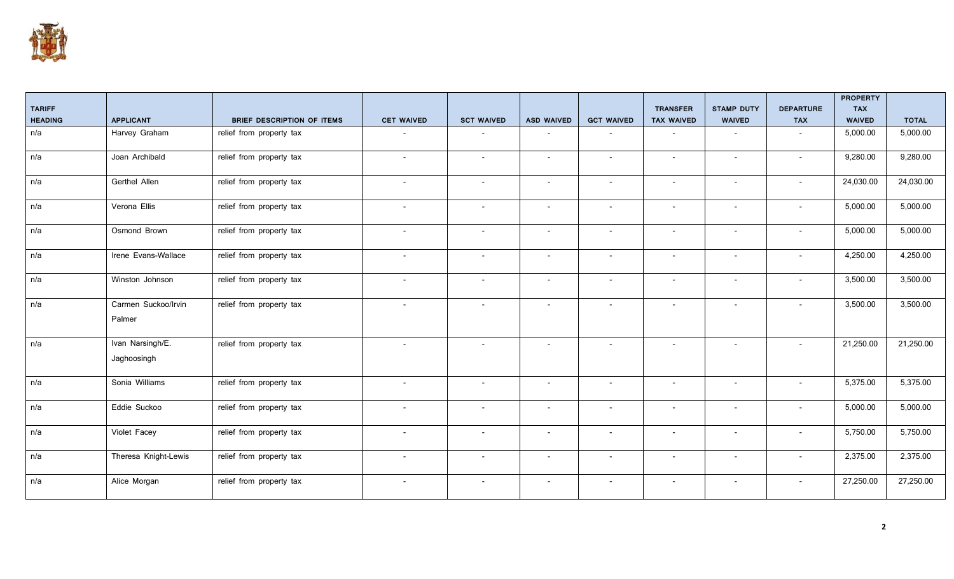

|                |                                 |                                   |                          |                          |                          |                          |                          |                          |                          | <b>PROPERTY</b> |              |
|----------------|---------------------------------|-----------------------------------|--------------------------|--------------------------|--------------------------|--------------------------|--------------------------|--------------------------|--------------------------|-----------------|--------------|
| <b>TARIFF</b>  |                                 |                                   |                          |                          |                          |                          | <b>TRANSFER</b>          | <b>STAMP DUTY</b>        | <b>DEPARTURE</b>         | <b>TAX</b>      |              |
| <b>HEADING</b> | <b>APPLICANT</b>                | <b>BRIEF DESCRIPTION OF ITEMS</b> | <b>CET WAIVED</b>        | <b>SCT WAIVED</b>        | <b>ASD WAIVED</b>        | <b>GCT WAIVED</b>        | <b>TAX WAIVED</b>        | <b>WAIVED</b>            | <b>TAX</b>               | <b>WAIVED</b>   | <b>TOTAL</b> |
| n/a            | Harvey Graham                   | relief from property tax          | $\overline{\phantom{a}}$ | $\overline{\phantom{a}}$ | $\overline{\phantom{a}}$ | $\overline{\phantom{a}}$ | $\overline{\phantom{a}}$ | $\overline{\phantom{a}}$ | $\overline{\phantom{a}}$ | 5,000.00        | 5,000.00     |
| n/a            | Joan Archibald                  | relief from property tax          | $\overline{\phantom{a}}$ | $\overline{\phantom{a}}$ | $\overline{\phantom{a}}$ |                          | $\overline{\phantom{a}}$ | $\overline{\phantom{a}}$ |                          | 9,280.00        | 9,280.00     |
| n/a            | <b>Gerthel Allen</b>            | relief from property tax          | $\overline{\phantom{a}}$ | $\overline{\phantom{a}}$ | $\overline{\phantom{0}}$ | $\overline{\phantom{a}}$ | $\overline{\phantom{a}}$ | $\overline{\phantom{a}}$ |                          | 24,030.00       | 24,030.00    |
| n/a            | Verona Ellis                    | relief from property tax          | $\overline{\phantom{a}}$ | $\overline{\phantom{a}}$ | $\overline{\phantom{a}}$ |                          | $\overline{\phantom{a}}$ | $\overline{\phantom{a}}$ |                          | 5,000.00        | 5,000.00     |
| n/a            | Osmond Brown                    | relief from property tax          | $\overline{\phantom{a}}$ | $\overline{\phantom{a}}$ | $\overline{\phantom{a}}$ | $\overline{\phantom{a}}$ | $\overline{\phantom{a}}$ | $\overline{\phantom{a}}$ |                          | 5,000.00        | 5,000.00     |
| n/a            | Irene Evans-Wallace             | relief from property tax          |                          |                          |                          |                          |                          |                          |                          | 4,250.00        | 4,250.00     |
| n/a            | Winston Johnson                 | relief from property tax          | $\overline{\phantom{a}}$ | $\overline{\phantom{a}}$ | $\overline{\phantom{a}}$ | $\overline{\phantom{a}}$ | $\overline{\phantom{a}}$ | $\overline{\phantom{a}}$ |                          | 3,500.00        | 3,500.00     |
| n/a            | Carmen Suckoo/Irvin<br>Palmer   | relief from property tax          |                          |                          | $\overline{\phantom{a}}$ |                          |                          | $\overline{\phantom{a}}$ |                          | 3,500.00        | 3,500.00     |
| n/a            | Ivan Narsingh/E.<br>Jaghoosingh | relief from property tax          | $\overline{\phantom{a}}$ |                          | $\overline{\phantom{a}}$ |                          | $\overline{\phantom{a}}$ |                          |                          | 21,250.00       | 21,250.00    |
| n/a            | Sonia Williams                  | relief from property tax          | $\overline{\phantom{a}}$ | $\overline{\phantom{a}}$ | $\overline{\phantom{a}}$ | $\overline{\phantom{a}}$ | $\overline{\phantom{a}}$ | $\overline{\phantom{a}}$ |                          | 5,375.00        | 5,375.00     |
| n/a            | Eddie Suckoo                    | relief from property tax          | $\overline{\phantom{0}}$ |                          | $\overline{\phantom{a}}$ |                          |                          | $\overline{\phantom{0}}$ |                          | 5,000.00        | 5,000.00     |
| n/a            | Violet Facey                    | relief from property tax          | $\overline{\phantom{a}}$ | $\overline{\phantom{a}}$ | $\overline{\phantom{a}}$ | $\overline{\phantom{a}}$ | $\overline{\phantom{a}}$ | $\overline{\phantom{a}}$ | $\blacksquare$           | 5,750.00        | 5,750.00     |
| n/a            | Theresa Knight-Lewis            | relief from property tax          | $\overline{\phantom{a}}$ | $\overline{\phantom{a}}$ | $\overline{\phantom{a}}$ | $\overline{\phantom{a}}$ | $\overline{\phantom{a}}$ | $\overline{\phantom{a}}$ |                          | 2,375.00        | 2,375.00     |
| n/a            | Alice Morgan                    | relief from property tax          | $\overline{\phantom{a}}$ | $\overline{\phantom{a}}$ | $\overline{\phantom{a}}$ | $\overline{\phantom{a}}$ | $\overline{\phantom{a}}$ | $\overline{\phantom{a}}$ | $\overline{\phantom{a}}$ | 27,250.00       | 27,250.00    |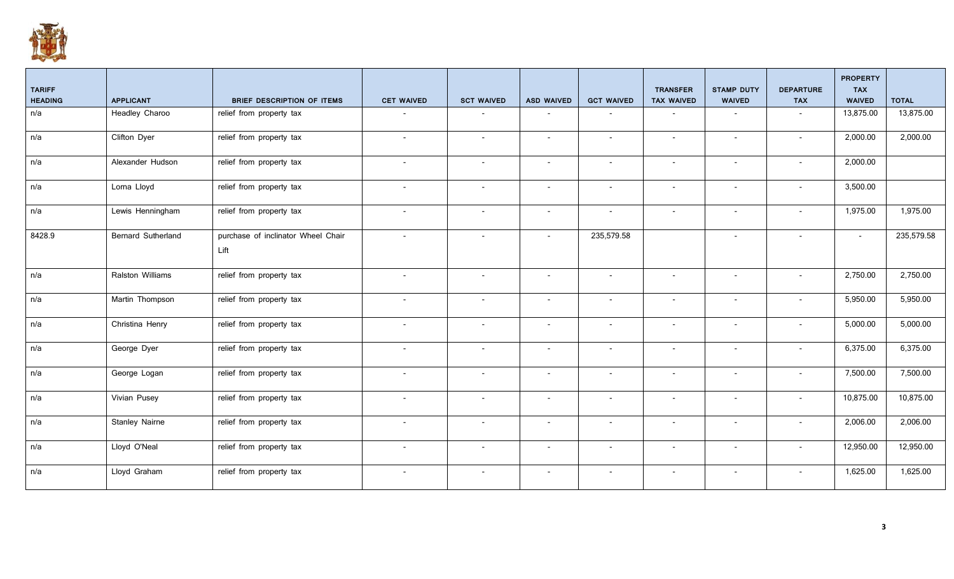

|                    |                                            |                          |                          |                          |                          | <b>TRANSFER</b>          | <b>STAMP DUTY</b>        | <b>DEPARTURE</b>         | <b>PROPERTY</b><br><b>TAX</b> |              |
|--------------------|--------------------------------------------|--------------------------|--------------------------|--------------------------|--------------------------|--------------------------|--------------------------|--------------------------|-------------------------------|--------------|
| <b>APPLICANT</b>   | <b>BRIEF DESCRIPTION OF ITEMS</b>          | <b>CET WAIVED</b>        | <b>SCT WAIVED</b>        | <b>ASD WAIVED</b>        | <b>GCT WAIVED</b>        | <b>TAX WAIVED</b>        | <b>WAIVED</b>            | <b>TAX</b>               | <b>WAIVED</b>                 | <b>TOTAL</b> |
| Headley Charoo     | relief from property tax                   |                          |                          |                          |                          |                          |                          |                          | 13,875.00                     | 13,875.00    |
| Clifton Dyer       | relief from property tax                   | $\sim$                   | $\sim$                   | $\sim$                   | $\overline{\phantom{a}}$ | $\sim$                   | $\sim$                   | $\overline{a}$           | 2,000.00                      | 2,000.00     |
| Alexander Hudson   | relief from property tax                   | $\sim$                   | $\overline{\phantom{0}}$ | $\sim$                   | $\overline{\phantom{a}}$ | $\sim$                   | $\overline{\phantom{a}}$ | $\sim$                   | 2,000.00                      |              |
| Lorna Lloyd        | relief from property tax                   | $\overline{a}$           | $\overline{\phantom{a}}$ | $\overline{a}$           | $\overline{\phantom{a}}$ | $\overline{\phantom{a}}$ | $\overline{\phantom{a}}$ |                          | 3,500.00                      |              |
| Lewis Henningham   | relief from property tax                   | $\sim$                   | $\overline{\phantom{a}}$ | $\sim$                   | $\overline{\phantom{a}}$ | $\sim$                   | $\overline{\phantom{a}}$ | $\overline{\phantom{a}}$ | 1,975.00                      | 1,975.00     |
| Bernard Sutherland | purchase of inclinator Wheel Chair<br>Lift | $\sim$                   | $\overline{\phantom{a}}$ | $\overline{\phantom{a}}$ | 235,579.58               |                          | $\overline{\phantom{a}}$ | $\overline{a}$           | $\sim$                        | 235,579.58   |
| Ralston Williams   | relief from property tax                   | $\sim$                   | $\sim$                   | $\sim$                   | $\overline{\phantom{a}}$ | $\sim$                   | $\sim$                   | $\sim$                   | 2,750.00                      | 2,750.00     |
| Martin Thompson    | relief from property tax                   | $\overline{\phantom{0}}$ | $\overline{\phantom{a}}$ | $\overline{\phantom{a}}$ | $\overline{\phantom{a}}$ | $\overline{\phantom{a}}$ | $\overline{\phantom{a}}$ |                          | 5,950.00                      | 5,950.00     |
| Christina Henry    | relief from property tax                   | $\sim$                   | $\overline{\phantom{a}}$ | $\overline{\phantom{0}}$ | $\overline{\phantom{a}}$ | $\overline{\phantom{a}}$ | $\overline{\phantom{a}}$ |                          | 5,000.00                      | 5,000.00     |
| George Dyer        | relief from property tax                   | $\sim$                   | $\overline{\phantom{a}}$ | $\sim$                   | $\overline{\phantom{a}}$ | $\overline{\phantom{a}}$ | $\overline{\phantom{a}}$ | $\overline{a}$           | 6,375.00                      | 6,375.00     |
| George Logan       | relief from property tax                   | $\sim$                   | $\overline{\phantom{a}}$ | $\overline{\phantom{0}}$ | $\overline{\phantom{a}}$ | $\overline{\phantom{a}}$ | $\overline{\phantom{a}}$ |                          | 7,500.00                      | 7,500.00     |
| Vivian Pusey       | relief from property tax                   | $\overline{\phantom{0}}$ | $\overline{\phantom{a}}$ | $\sim$                   | $\overline{\phantom{a}}$ | $\sim$                   | $\overline{\phantom{a}}$ | $\sim$                   | 10,875.00                     | 10,875.00    |
| Stanley Nairne     | relief from property tax                   | $\overline{\phantom{0}}$ | $\overline{\phantom{a}}$ | $\overline{\phantom{a}}$ | $\overline{\phantom{a}}$ | $\overline{\phantom{a}}$ | $\overline{\phantom{a}}$ | $\overline{\phantom{a}}$ | 2,006.00                      | 2,006.00     |
| Lloyd O'Neal       | relief from property tax                   | $\sim$                   | $\overline{\phantom{a}}$ | $\overline{a}$           | $\overline{\phantom{a}}$ | $\overline{\phantom{0}}$ | $\overline{\phantom{a}}$ | $\overline{a}$           | 12,950.00                     | 12,950.00    |
| Lloyd Graham       | relief from property tax                   | $\overline{\phantom{a}}$ | $\overline{\phantom{a}}$ | $\sim$                   | $\overline{\phantom{a}}$ | $\sim$                   | $\overline{\phantom{a}}$ | $\overline{\phantom{a}}$ | 1,625.00                      | 1,625.00     |
|                    |                                            |                          |                          |                          |                          |                          |                          |                          |                               |              |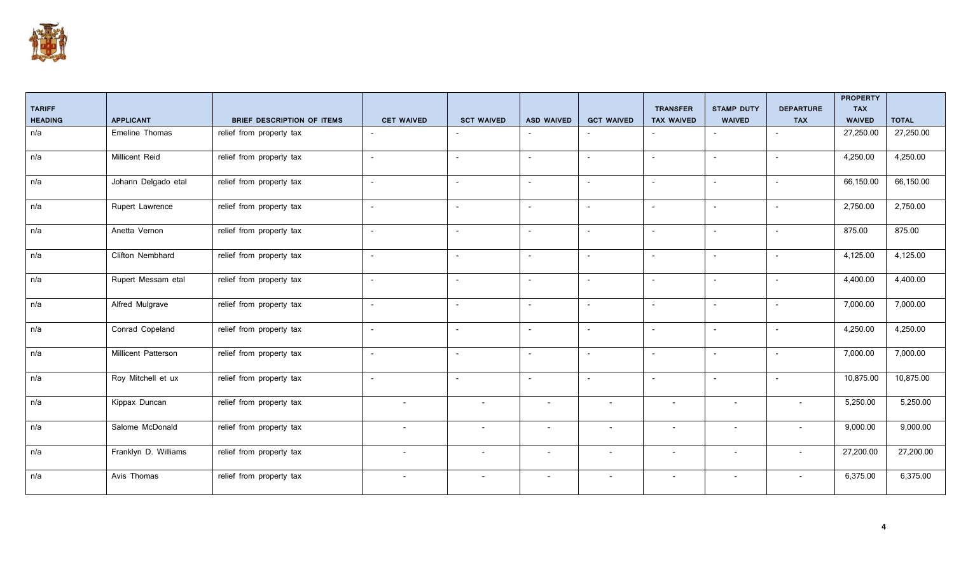

|                |                      |                            |                          |                          |                          |                          |                          |                          |                          | <b>PROPERTY</b> |              |
|----------------|----------------------|----------------------------|--------------------------|--------------------------|--------------------------|--------------------------|--------------------------|--------------------------|--------------------------|-----------------|--------------|
| <b>TARIFF</b>  |                      |                            |                          |                          |                          |                          | <b>TRANSFER</b>          | <b>STAMP DUTY</b>        | <b>DEPARTURE</b>         | <b>TAX</b>      |              |
| <b>HEADING</b> | <b>APPLICANT</b>     | BRIEF DESCRIPTION OF ITEMS | <b>CET WAIVED</b>        | <b>SCT WAIVED</b>        | <b>ASD WAIVED</b>        | <b>GCT WAIVED</b>        | <b>TAX WAIVED</b>        | <b>WAIVED</b>            | <b>TAX</b>               | WAIVED          | <b>TOTAL</b> |
| n/a            | Emeline Thomas       | relief from property tax   | $\overline{\phantom{a}}$ |                          | $\overline{\phantom{a}}$ | $\overline{\phantom{a}}$ |                          |                          | $\overline{\phantom{a}}$ | 27,250.00       | 27,250.00    |
| n/a            | Millicent Reid       | relief from property tax   | $\overline{\phantom{a}}$ | $\overline{\phantom{0}}$ | $\overline{\phantom{a}}$ | $\overline{\phantom{a}}$ | $\blacksquare$           | $\overline{\phantom{a}}$ |                          | 4,250.00        | 4,250.00     |
| n/a            | Johann Delgado etal  | relief from property tax   | $\overline{\phantom{a}}$ | $\overline{a}$           | $\overline{\phantom{a}}$ | $\overline{\phantom{a}}$ | $\overline{\phantom{a}}$ | $\overline{\phantom{a}}$ | $\overline{a}$           | 66,150.00       | 66,150.00    |
| n/a            | Rupert Lawrence      | relief from property tax   | $\overline{\phantom{a}}$ | $\overline{\phantom{a}}$ | $\overline{\phantom{a}}$ | $\overline{\phantom{a}}$ | $\overline{\phantom{a}}$ | $\overline{\phantom{a}}$ | $\overline{\phantom{a}}$ | 2,750.00        | 2,750.00     |
| n/a            | Anetta Vernon        | relief from property tax   | $\overline{\phantom{a}}$ | $\overline{\phantom{a}}$ | $\overline{\phantom{a}}$ | $\overline{\phantom{a}}$ | $\blacksquare$           | $\overline{\phantom{a}}$ | $\overline{\phantom{a}}$ | 875.00          | 875.00       |
| n/a            | Clifton Nembhard     | relief from property tax   | $\overline{\phantom{a}}$ | $\overline{a}$           | $\overline{\phantom{a}}$ | $\overline{\phantom{a}}$ | $\overline{\phantom{a}}$ | $\overline{\phantom{a}}$ | $\overline{\phantom{a}}$ | 4,125.00        | 4,125.00     |
| n/a            | Rupert Messam etal   | relief from property tax   | $\overline{\phantom{a}}$ |                          | $\overline{\phantom{a}}$ | $\overline{\phantom{a}}$ |                          | $\overline{\phantom{a}}$ |                          | 4,400.00        | 4,400.00     |
| n/a            | Alfred Mulgrave      | relief from property tax   | $\sim$                   | $\sim$                   | $\sim$                   | $\sim$                   | $\sim$                   | $\overline{\phantom{a}}$ |                          | 7,000.00        | 7,000.00     |
| n/a            | Conrad Copeland      | relief from property tax   | $\overline{\phantom{a}}$ | $\overline{\phantom{a}}$ | $\overline{\phantom{a}}$ | $\overline{\phantom{a}}$ | $\overline{\phantom{a}}$ | $\overline{\phantom{a}}$ |                          | 4,250.00        | 4,250.00     |
| n/a            | Millicent Patterson  | relief from property tax   | $\overline{\phantom{a}}$ |                          | $\overline{\phantom{a}}$ | $\overline{\phantom{a}}$ | $\overline{\phantom{a}}$ | $\overline{\phantom{a}}$ |                          | 7,000.00        | 7,000.00     |
| n/a            | Roy Mitchell et ux   | relief from property tax   | $\overline{\phantom{a}}$ | $\overline{a}$           | $\overline{\phantom{a}}$ | $\overline{\phantom{a}}$ | $\overline{\phantom{a}}$ | $\overline{\phantom{a}}$ | $\overline{a}$           | 10,875.00       | 10,875.00    |
| n/a            | Kippax Duncan        | relief from property tax   | $\overline{\phantom{a}}$ | $\overline{\phantom{a}}$ | $\overline{\phantom{0}}$ |                          | $\overline{\phantom{a}}$ | $\overline{\phantom{0}}$ |                          | 5,250.00        | 5,250.00     |
| n/a            | Salome McDonald      | relief from property tax   | $\overline{\phantom{a}}$ | $\overline{\phantom{a}}$ | $\overline{\phantom{a}}$ | $\overline{\phantom{a}}$ | $\overline{\phantom{a}}$ | $\overline{\phantom{a}}$ | $\overline{\phantom{a}}$ | 9,000.00        | 9,000.00     |
| n/a            | Franklyn D. Williams | relief from property tax   | $\overline{\phantom{a}}$ | $\overline{\phantom{a}}$ | $\overline{\phantom{a}}$ | $\overline{\phantom{a}}$ | $\overline{\phantom{a}}$ | $\overline{\phantom{a}}$ |                          | 27,200.00       | 27,200.00    |
| n/a            | Avis Thomas          | relief from property tax   | $\overline{\phantom{0}}$ | $\overline{\phantom{a}}$ | $\overline{\phantom{a}}$ | $\overline{\phantom{a}}$ | $\overline{\phantom{a}}$ | $\overline{\phantom{a}}$ |                          | 6,375.00        | 6,375.00     |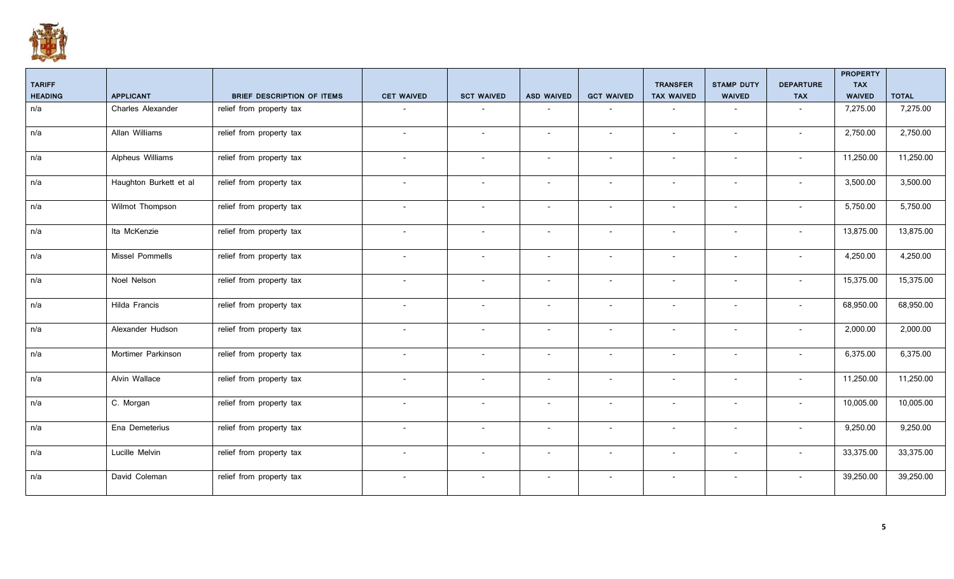

|                |                        |                                   |                          |                          |                          |                          |                          |                          |                          | <b>PROPERTY</b> |              |
|----------------|------------------------|-----------------------------------|--------------------------|--------------------------|--------------------------|--------------------------|--------------------------|--------------------------|--------------------------|-----------------|--------------|
| <b>TARIFF</b>  |                        |                                   |                          |                          |                          |                          | <b>TRANSFER</b>          | <b>STAMP DUTY</b>        | <b>DEPARTURE</b>         | <b>TAX</b>      |              |
| <b>HEADING</b> | <b>APPLICANT</b>       | <b>BRIEF DESCRIPTION OF ITEMS</b> | <b>CET WAIVED</b>        | <b>SCT WAIVED</b>        | <b>ASD WAIVED</b>        | <b>GCT WAIVED</b>        | <b>TAX WAIVED</b>        | <b>WAIVED</b>            | <b>TAX</b>               | <b>WAIVED</b>   | <b>TOTAL</b> |
| n/a            | Charles Alexander      | relief from property tax          |                          |                          |                          |                          |                          | $\overline{\phantom{a}}$ |                          | 7,275.00        | 7,275.00     |
| n/a            | Allan Williams         | relief from property tax          | $\sim$                   | $\overline{\phantom{a}}$ | $\overline{\phantom{0}}$ | $\overline{\phantom{a}}$ | $\overline{\phantom{a}}$ | $\sim$                   | $\overline{a}$           | 2,750.00        | 2,750.00     |
| n/a            | Alpheus Williams       | relief from property tax          | $\overline{\phantom{a}}$ | $\overline{\phantom{a}}$ | $\overline{\phantom{a}}$ | $\overline{\phantom{a}}$ | $\overline{\phantom{a}}$ | $\overline{\phantom{a}}$ | $\overline{\phantom{a}}$ | 11,250.00       | 11,250.00    |
| n/a            | Haughton Burkett et al | relief from property tax          | $\overline{\phantom{a}}$ | $\overline{\phantom{a}}$ |                          |                          | $\overline{\phantom{a}}$ |                          |                          | 3,500.00        | 3,500.00     |
| n/a            | Wilmot Thompson        | relief from property tax          | $\overline{\phantom{a}}$ | $\overline{\phantom{0}}$ | $\sim$                   | $\overline{\phantom{a}}$ | $\sim$                   | $\sim$                   |                          | 5,750.00        | 5,750.00     |
| n/a            | Ita McKenzie           | relief from property tax          | $\sim$                   | $\overline{\phantom{0}}$ | $\sim$                   | $\overline{\phantom{a}}$ | $\overline{\phantom{a}}$ | $\sim$                   | $\overline{a}$           | 13,875.00       | 13,875.00    |
| n/a            | Missel Pommells        | relief from property tax          | $\overline{\phantom{0}}$ | $\overline{\phantom{a}}$ |                          | $\overline{\phantom{0}}$ | $\overline{\phantom{a}}$ | $\overline{\phantom{a}}$ |                          | 4,250.00        | 4,250.00     |
| n/a            | Noel Nelson            | relief from property tax          | $\sim$                   | $\overline{\phantom{a}}$ | $\overline{\phantom{a}}$ | $\overline{\phantom{a}}$ | $\overline{\phantom{a}}$ | $\overline{\phantom{a}}$ | $\overline{\phantom{a}}$ | 15,375.00       | 15,375.00    |
| n/a            | Hilda Francis          | relief from property tax          | $\sim$                   | $\overline{\phantom{a}}$ | $\overline{\phantom{a}}$ | $\overline{\phantom{a}}$ | $\overline{\phantom{a}}$ | $\overline{\phantom{a}}$ | $\overline{\phantom{a}}$ | 68,950.00       | 68,950.00    |
| n/a            | Alexander Hudson       | relief from property tax          | $\overline{\phantom{a}}$ | $\overline{\phantom{a}}$ | $\overline{\phantom{a}}$ | $\overline{\phantom{a}}$ | $\overline{\phantom{a}}$ | $\overline{\phantom{a}}$ | $\overline{a}$           | 2,000.00        | 2,000.00     |
| n/a            | Mortimer Parkinson     | relief from property tax          | $\overline{\phantom{a}}$ | $\overline{\phantom{a}}$ | $\overline{\phantom{a}}$ | $\overline{\phantom{a}}$ | $\overline{\phantom{a}}$ | $\overline{\phantom{a}}$ |                          | 6,375.00        | 6,375.00     |
| n/a            | Alvin Wallace          | relief from property tax          | $\overline{\phantom{a}}$ | $\overline{\phantom{a}}$ | $\overline{\phantom{a}}$ | $\overline{\phantom{a}}$ | $\overline{\phantom{a}}$ | $\overline{\phantom{a}}$ |                          | 11,250.00       | 11,250.00    |
| n/a            | C. Morgan              | relief from property tax          | $\overline{\phantom{a}}$ | $\overline{\phantom{a}}$ | $\overline{\phantom{a}}$ | $\overline{\phantom{a}}$ | $\overline{\phantom{a}}$ | $\overline{\phantom{a}}$ | $\overline{a}$           | 10,005.00       | 10,005.00    |
| n/a            | Ena Demeterius         | relief from property tax          | $\overline{\phantom{a}}$ | $\overline{\phantom{a}}$ |                          |                          | $\overline{\phantom{a}}$ | $\overline{\phantom{a}}$ |                          | 9,250.00        | 9,250.00     |
| n/a            | Lucille Melvin         | relief from property tax          | $\overline{\phantom{a}}$ | $\overline{\phantom{0}}$ | $\overline{\phantom{0}}$ | $\overline{\phantom{a}}$ | $\overline{\phantom{a}}$ | $\overline{\phantom{a}}$ |                          | 33,375.00       | 33,375.00    |
| n/a            | David Coleman          | relief from property tax          | $\sim$                   | $\overline{\phantom{0}}$ | $\sim$                   | $\overline{\phantom{a}}$ | $\sim$                   | $\sim$                   | $\overline{a}$           | 39,250.00       | 39,250.00    |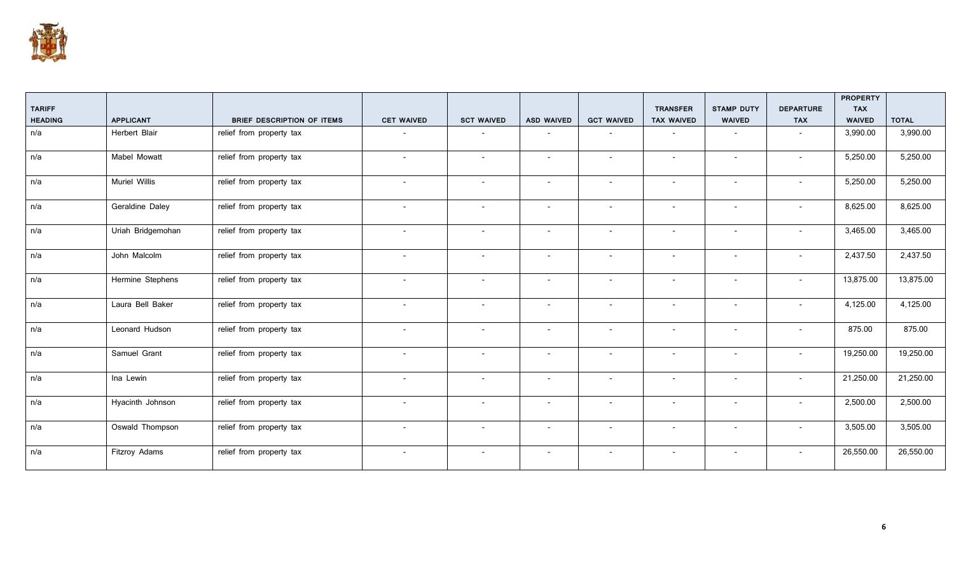

|                |                      |                                   |                          |                          |                          |                          |                          |                          |                          | <b>PROPERTY</b> |              |
|----------------|----------------------|-----------------------------------|--------------------------|--------------------------|--------------------------|--------------------------|--------------------------|--------------------------|--------------------------|-----------------|--------------|
| <b>TARIFF</b>  |                      |                                   |                          |                          |                          |                          | <b>TRANSFER</b>          | <b>STAMP DUTY</b>        | <b>DEPARTURE</b>         | <b>TAX</b>      |              |
| <b>HEADING</b> | <b>APPLICANT</b>     | <b>BRIEF DESCRIPTION OF ITEMS</b> | <b>CET WAIVED</b>        | <b>SCT WAIVED</b>        | <b>ASD WAIVED</b>        | <b>GCT WAIVED</b>        | <b>TAX WAIVED</b>        | <b>WAIVED</b>            | <b>TAX</b>               | <b>WAIVED</b>   | <b>TOTAL</b> |
| n/a            | Herbert Blair        | relief from property tax          |                          |                          |                          |                          | $\overline{\phantom{a}}$ | $\overline{\phantom{a}}$ |                          | 3,990.00        | 3,990.00     |
| n/a            | Mabel Mowatt         | relief from property tax          | $\overline{\phantom{a}}$ | $\overline{\phantom{a}}$ | $\overline{\phantom{a}}$ | $\overline{\phantom{a}}$ | $\overline{\phantom{a}}$ | $\overline{\phantom{a}}$ | $\blacksquare$           | 5,250.00        | 5,250.00     |
| n/a            | <b>Muriel Willis</b> | relief from property tax          | $\sim$                   | $\overline{\phantom{a}}$ | $\sim$                   | $\sim$                   | $\overline{\phantom{a}}$ | $\overline{\phantom{a}}$ | $\overline{\phantom{a}}$ | 5,250.00        | 5,250.00     |
| n/a            | Geraldine Daley      | relief from property tax          | $\overline{\phantom{a}}$ | $\overline{\phantom{a}}$ | $\overline{\phantom{a}}$ | $\overline{\phantom{a}}$ | $\overline{\phantom{a}}$ | $\overline{\phantom{a}}$ | $\overline{\phantom{a}}$ | 8,625.00        | 8,625.00     |
| n/a            | Uriah Bridgemohan    | relief from property tax          | $\overline{\phantom{a}}$ | $\overline{\phantom{a}}$ | $\overline{\phantom{a}}$ | $\overline{\phantom{a}}$ | $\overline{\phantom{a}}$ | $\overline{\phantom{a}}$ |                          | 3,465.00        | 3,465.00     |
| n/a            | John Malcolm         | relief from property tax          | $\overline{\phantom{a}}$ | $\overline{\phantom{a}}$ | $\overline{\phantom{a}}$ | $\overline{\phantom{a}}$ | $\overline{\phantom{a}}$ | $\overline{\phantom{a}}$ | $\blacksquare$           | 2,437.50        | 2,437.50     |
| n/a            | Hermine Stephens     | relief from property tax          | $\overline{\phantom{a}}$ | $\overline{\phantom{a}}$ | $\overline{\phantom{a}}$ | $\overline{\phantom{a}}$ | $\overline{\phantom{a}}$ | $\overline{\phantom{a}}$ | $\overline{\phantom{a}}$ | 13,875.00       | 13,875.00    |
| n/a            | Laura Bell Baker     | relief from property tax          | $\overline{\phantom{a}}$ | $\overline{\phantom{a}}$ | $\overline{\phantom{a}}$ | $\overline{\phantom{a}}$ | $\overline{\phantom{a}}$ | $\overline{\phantom{a}}$ |                          | 4,125.00        | 4,125.00     |
| n/a            | Leonard Hudson       | relief from property tax          | $\overline{\phantom{0}}$ | $\overline{a}$           | $\overline{\phantom{0}}$ | $\overline{\phantom{0}}$ | $\overline{\phantom{a}}$ | $\overline{\phantom{a}}$ |                          | 875.00          | 875.00       |
| n/a            | Samuel Grant         | relief from property tax          | $\overline{\phantom{a}}$ | $\overline{\phantom{a}}$ | $\overline{\phantom{a}}$ | $\overline{\phantom{a}}$ | $\overline{\phantom{a}}$ | $\overline{\phantom{a}}$ |                          | 19,250.00       | 19,250.00    |
| n/a            | Ina Lewin            | relief from property tax          | $\overline{\phantom{a}}$ | $\overline{\phantom{a}}$ | $\overline{\phantom{a}}$ | $\overline{\phantom{a}}$ | $\overline{\phantom{a}}$ | $\overline{\phantom{a}}$ | $\overline{\phantom{a}}$ | 21,250.00       | 21,250.00    |
| n/a            | Hyacinth Johnson     | relief from property tax          | $\overline{\phantom{a}}$ | $\overline{\phantom{a}}$ | $\overline{\phantom{a}}$ | $\overline{\phantom{a}}$ | $\overline{\phantom{a}}$ | $\overline{\phantom{a}}$ | $\overline{\phantom{a}}$ | 2,500.00        | 2,500.00     |
| n/a            | Oswald Thompson      | relief from property tax          | $\sim$                   | $\overline{\phantom{a}}$ | $\sim$                   | $\overline{\phantom{a}}$ | $\overline{\phantom{a}}$ | $\overline{\phantom{a}}$ | $\overline{\phantom{a}}$ | 3,505.00        | 3,505.00     |
| n/a            | Fitzroy Adams        | relief from property tax          | $\overline{\phantom{a}}$ | $\overline{\phantom{a}}$ | $\overline{\phantom{a}}$ | $\overline{\phantom{a}}$ | $\overline{\phantom{a}}$ | $\overline{\phantom{a}}$ |                          | 26,550.00       | 26,550.00    |